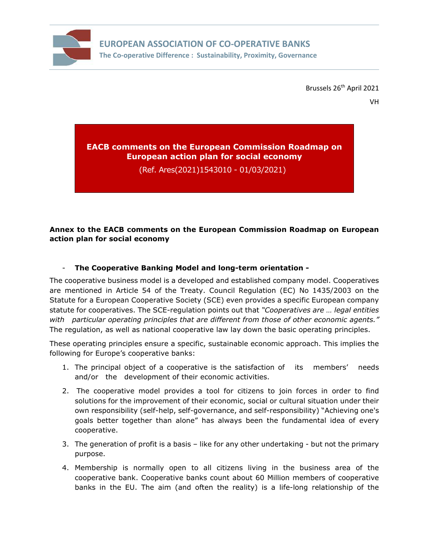

**EUROPEAN ASSOCIATION OF CO-OPERATIVE BANKS The Co-operative Difference : Sustainability, Proximity, Governance** 

Brussels 26<sup>th</sup> April 2021

## **EACB comments on the European Commission Roadmap on European action plan for social economy**

(Ref. Ares(2021)1543010 - 01/03/2021)

## **Annex to the EACB comments on the European Commission Roadmap on European action plan for social economy**

## - **The Cooperative Banking Model and long-term orientation -**

The cooperative business model is a developed and established company model. Cooperatives are mentioned in Article 54 of the Treaty. Council Regulation (EC) No 1435/2003 on the Statute for a European Cooperative Society (SCE) even provides a specific European company statute for cooperatives. The SCE-regulation points out that *"Cooperatives are … legal entities with particular operating principles that are different from those of other economic agents."* The regulation, as well as national cooperative law lay down the basic operating principles.

These operating principles ensure a specific, sustainable economic approach. This implies the following for Europe's cooperative banks:

- 1. The principal object of a cooperative is the satisfaction of its members' needs and/or the development of their economic activities.
- 2. The cooperative model provides a tool for citizens to join forces in order to find solutions for the improvement of their economic, social or cultural situation under their own responsibility (self-help, self-governance, and self-responsibility) "Achieving one's goals better together than alone" has always been the fundamental idea of every cooperative.
- 3. The generation of profit is a basis like for any other undertaking but not the primary purpose.
- 4. Membership is normally open to all citizens living in the business area of the cooperative bank. Cooperative banks count about 60 Million members of cooperative banks in the EU. The aim (and often the reality) is a life-long relationship of the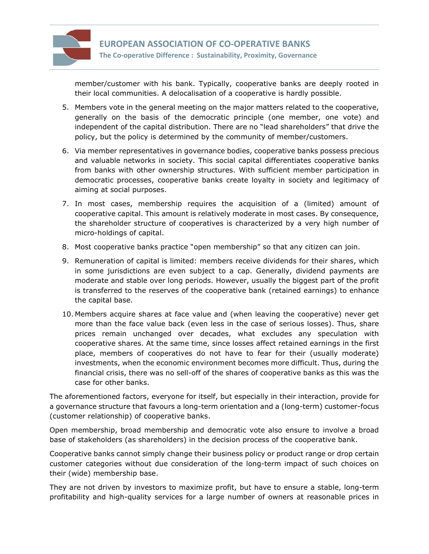

**EUROPEAN ASSOCIATION OF CO-OPERATIVE BANKS The Co-operative Difference : Sustainability, Proximity, Governance** 

member/customer with his bank. Typically, cooperative banks are deeply rooted in their local communities. A delocalisation of a cooperative is hardly possible.

- 5. Members vote in the general meeting on the major matters related to the cooperative, generally on the basis of the democratic principle (one member, one vote) and independent of the capital distribution. There are no "lead shareholders" that drive the policy, but the policy is determined by the community of member/customers.
- 6. Via member representatives in governance bodies, cooperative banks possess precious and valuable networks in society. This social capital differentiates cooperative banks from banks with other ownership structures. With sufficient member participation in democratic processes, cooperative banks create loyalty in society and legitimacy of aiming at social purposes.
- 7. In most cases, membership requires the acquisition of a (limited) amount of cooperative capital. This amount is relatively moderate in most cases. By consequence, the shareholder structure of cooperatives is characterized by a very high number of micro-holdings of capital.
- 8. Most cooperative banks practice "open membership" so that any citizen can join.
- 9. Remuneration of capital is limited: members receive dividends for their shares, which in some jurisdictions are even subject to a cap. Generally, dividend payments are moderate and stable over long periods. However, usually the biggest part of the profit is transferred to the reserves of the cooperative bank (retained earnings) to enhance the capital base.
- 10. Members acquire shares at face value and (when leaving the cooperative) never get more than the face value back (even less in the case of serious losses). Thus, share prices remain unchanged over decades, what excludes any speculation with cooperative shares. At the same time, since losses affect retained earnings in the first place, members of cooperatives do not have to fear for their (usually moderate) investments, when the economic environment becomes more difficult. Thus, during the financial crisis, there was no sell-off of the shares of cooperative banks as this was the case for other banks.

The aforementioned factors, everyone for itself, but especially in their interaction, provide for a governance structure that favours a long-term orientation and a (long-term) customer-focus (customer relationship) of cooperative banks.

Open membership, broad membership and democratic vote also ensure to involve a broad base of stakeholders (as shareholders) in the decision process of the cooperative bank.

Cooperative banks cannot simply change their business policy or product range or drop certain customer categories without due consideration of the long-term impact of such choices on their (wide) membership base.

They are not driven by investors to maximize profit, but have to ensure a stable, long-term profitability and high-quality services for a large number of owners at reasonable prices in